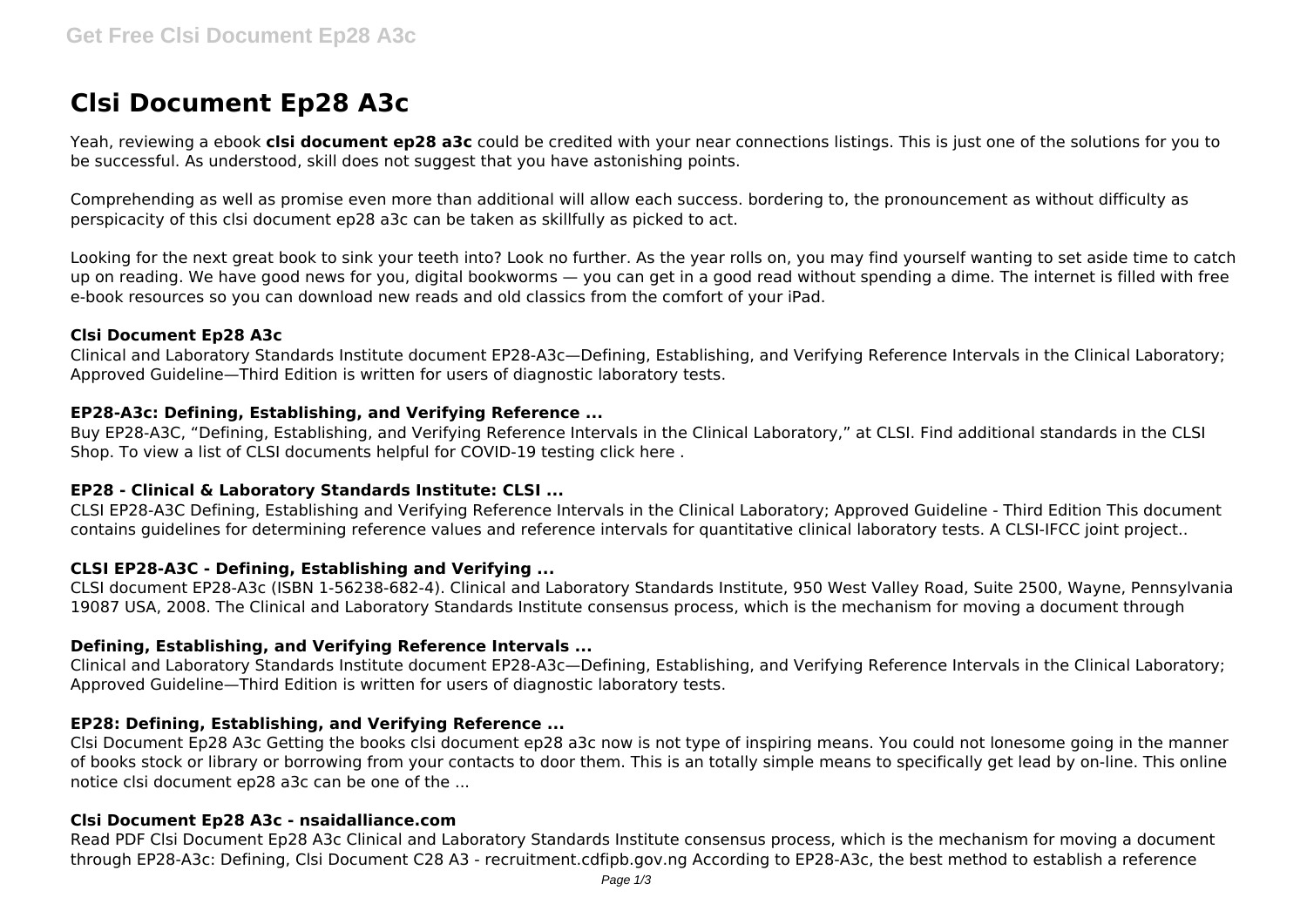# **Clsi Document Ep28 A3c**

Yeah, reviewing a ebook **clsi document ep28 a3c** could be credited with your near connections listings. This is just one of the solutions for you to be successful. As understood, skill does not suggest that you have astonishing points.

Comprehending as well as promise even more than additional will allow each success. bordering to, the pronouncement as without difficulty as perspicacity of this clsi document ep28 a3c can be taken as skillfully as picked to act.

Looking for the next great book to sink your teeth into? Look no further. As the year rolls on, you may find yourself wanting to set aside time to catch up on reading. We have good news for you, digital bookworms — you can get in a good read without spending a dime. The internet is filled with free e-book resources so you can download new reads and old classics from the comfort of your iPad.

## **Clsi Document Ep28 A3c**

Clinical and Laboratory Standards Institute document EP28-A3c—Defining, Establishing, and Verifying Reference Intervals in the Clinical Laboratory; Approved Guideline—Third Edition is written for users of diagnostic laboratory tests.

# **EP28-A3c: Defining, Establishing, and Verifying Reference ...**

Buy EP28-A3C, "Defining, Establishing, and Verifying Reference Intervals in the Clinical Laboratory," at CLSI. Find additional standards in the CLSI Shop. To view a list of CLSI documents helpful for COVID-19 testing click here .

# **EP28 - Clinical & Laboratory Standards Institute: CLSI ...**

CLSI EP28-A3C Defining, Establishing and Verifying Reference Intervals in the Clinical Laboratory; Approved Guideline - Third Edition This document contains guidelines for determining reference values and reference intervals for quantitative clinical laboratory tests. A CLSI-IFCC joint project..

# **CLSI EP28-A3C - Defining, Establishing and Verifying ...**

CLSI document EP28-A3c (ISBN 1-56238-682-4). Clinical and Laboratory Standards Institute, 950 West Valley Road, Suite 2500, Wayne, Pennsylvania 19087 USA, 2008. The Clinical and Laboratory Standards Institute consensus process, which is the mechanism for moving a document through

#### **Defining, Establishing, and Verifying Reference Intervals ...**

Clinical and Laboratory Standards Institute document EP28-A3c—Defining, Establishing, and Verifying Reference Intervals in the Clinical Laboratory; Approved Guideline—Third Edition is written for users of diagnostic laboratory tests.

# **EP28: Defining, Establishing, and Verifying Reference ...**

Clsi Document Ep28 A3c Getting the books clsi document ep28 a3c now is not type of inspiring means. You could not lonesome going in the manner of books stock or library or borrowing from your contacts to door them. This is an totally simple means to specifically get lead by on-line. This online notice clsi document ep28 a3c can be one of the ...

#### **Clsi Document Ep28 A3c - nsaidalliance.com**

Read PDF Clsi Document Ep28 A3c Clinical and Laboratory Standards Institute consensus process, which is the mechanism for moving a document through EP28-A3c: Defining, Clsi Document C28 A3 - recruitment.cdfipb.gov.ng According to EP28-A3c, the best method to establish a reference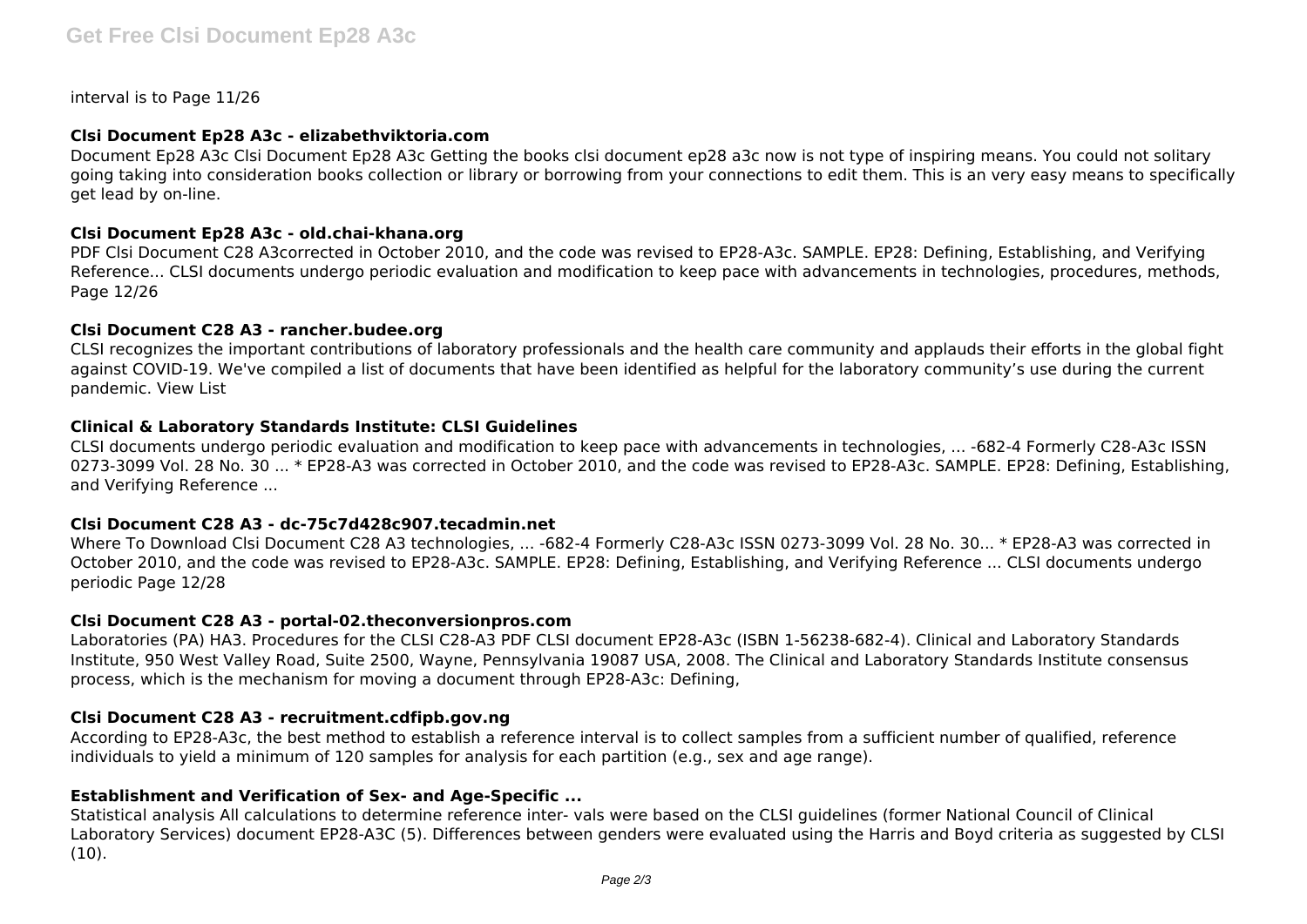interval is to Page 11/26

## **Clsi Document Ep28 A3c - elizabethviktoria.com**

Document Ep28 A3c Clsi Document Ep28 A3c Getting the books clsi document ep28 a3c now is not type of inspiring means. You could not solitary going taking into consideration books collection or library or borrowing from your connections to edit them. This is an very easy means to specifically get lead by on-line.

## **Clsi Document Ep28 A3c - old.chai-khana.org**

PDF Clsi Document C28 A3corrected in October 2010, and the code was revised to EP28-A3c. SAMPLE. EP28: Defining, Establishing, and Verifying Reference... CLSI documents undergo periodic evaluation and modification to keep pace with advancements in technologies, procedures, methods, Page 12/26

## **Clsi Document C28 A3 - rancher.budee.org**

CLSI recognizes the important contributions of laboratory professionals and the health care community and applauds their efforts in the global fight against COVID-19. We've compiled a list of documents that have been identified as helpful for the laboratory community's use during the current pandemic. View List

# **Clinical & Laboratory Standards Institute: CLSI Guidelines**

CLSI documents undergo periodic evaluation and modification to keep pace with advancements in technologies, ... -682-4 Formerly C28-A3c ISSN 0273-3099 Vol. 28 No. 30 ... \* EP28-A3 was corrected in October 2010, and the code was revised to EP28-A3c. SAMPLE. EP28: Defining, Establishing, and Verifying Reference ...

# **Clsi Document C28 A3 - dc-75c7d428c907.tecadmin.net**

Where To Download Clsi Document C28 A3 technologies, ... -682-4 Formerly C28-A3c ISSN 0273-3099 Vol. 28 No. 30... \* EP28-A3 was corrected in October 2010, and the code was revised to EP28-A3c. SAMPLE. EP28: Defining, Establishing, and Verifying Reference ... CLSI documents undergo periodic Page 12/28

#### **Clsi Document C28 A3 - portal-02.theconversionpros.com**

Laboratories (PA) HA3. Procedures for the CLSI C28-A3 PDF CLSI document EP28-A3c (ISBN 1-56238-682-4). Clinical and Laboratory Standards Institute, 950 West Valley Road, Suite 2500, Wayne, Pennsylvania 19087 USA, 2008. The Clinical and Laboratory Standards Institute consensus process, which is the mechanism for moving a document through EP28-A3c: Defining,

# **Clsi Document C28 A3 - recruitment.cdfipb.gov.ng**

According to EP28-A3c, the best method to establish a reference interval is to collect samples from a sufficient number of qualified, reference individuals to yield a minimum of 120 samples for analysis for each partition (e.g., sex and age range).

# **Establishment and Verification of Sex- and Age-Specific ...**

Statistical analysis All calculations to determine reference inter- vals were based on the CLSI guidelines (former National Council of Clinical Laboratory Services) document EP28-A3C (5). Differences between genders were evaluated using the Harris and Boyd criteria as suggested by CLSI (10).